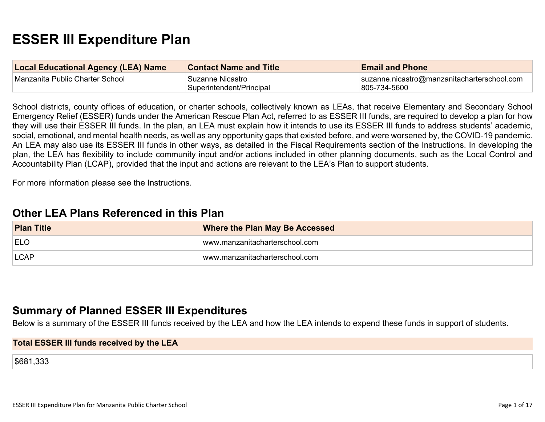# **ESSER III Expenditure Plan**

| <b>Local Educational Agency (LEA) Name</b> | <b>Contact Name and Title</b>                 | <b>Email and Phone</b>                                      |
|--------------------------------------------|-----------------------------------------------|-------------------------------------------------------------|
| Manzanita Public Charter School            | ˈSuzanne Nicastro<br>Superintendent/Principal | suzanne.nicastro@manzanitacharterschool.com<br>805-734-5600 |

School districts, county offices of education, or charter schools, collectively known as LEAs, that receive Elementary and Secondary School Emergency Relief (ESSER) funds under the American Rescue Plan Act, referred to as ESSER III funds, are required to develop a plan for how they will use their ESSER III funds. In the plan, an LEA must explain how it intends to use its ESSER III funds to address students' academic, social, emotional, and mental health needs, as well as any opportunity gaps that existed before, and were worsened by, the COVID-19 pandemic. An LEA may also use its ESSER III funds in other ways, as detailed in the Fiscal Requirements section of the Instructions. In developing the plan, the LEA has flexibility to include community input and/or actions included in other planning documents, such as the Local Control and Accountability Plan (LCAP), provided that the input and actions are relevant to the LEA's Plan to support students.

For more information please see the Instructions.

# **Other LEA Plans [Referenced](#page-11-0) in this Plan**

| <b>Plan Title</b> | <b>Where the Plan May Be Accessed</b> |  |
|-------------------|---------------------------------------|--|
| <b>ELO</b>        | www.manzanitacharterschool.com        |  |
| <b>LCAP</b>       | www.manzanitacharterschool.com        |  |

# **Summary of Planned ESSER III [Expenditures](#page-11-1)**

Below is a summary of the ESSER III funds received by the LEA and how the LEA intends to expend these funds in support of students.

#### **Total ESSER III funds received by the LEA**

\$681,333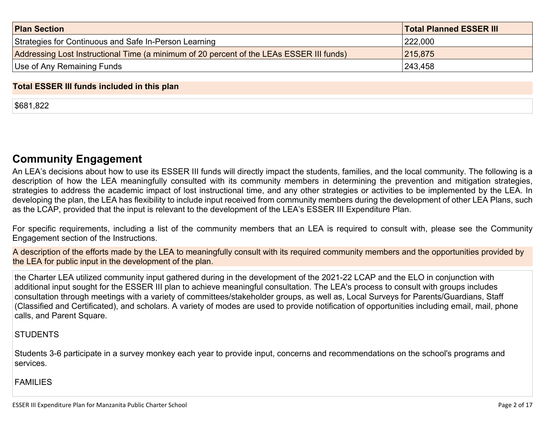| <b>Plan Section</b>                                                                      | <b>Total Planned ESSER III</b> |
|------------------------------------------------------------------------------------------|--------------------------------|
| Strategies for Continuous and Safe In-Person Learning                                    | 222,000                        |
| Addressing Lost Instructional Time (a minimum of 20 percent of the LEAs ESSER III funds) | 215,875                        |
| Use of Any Remaining Funds                                                               | 243,458                        |

#### **Total ESSER III funds included in this plan**

\$681,822

# **Community [Engagement](#page-12-0)**

An LEA's decisions about how to use its ESSER III funds will directly impact the students, families, and the local community. The following is a description of how the LEA meaningfully consulted with its community members in determining the prevention and mitigation strategies, strategies to address the academic impact of lost instructional time, and any other strategies or activities to be implemented by the LEA. In developing the plan, the LEA has flexibility to include input received from community members during the development of other LEA Plans, such as the LCAP, provided that the input is relevant to the development of the LEA's ESSER III Expenditure Plan.

For specific requirements, including a list of the community members that an LEA is required to consult with, please see the Community Engagement section of the Instructions.

A description of the efforts made by the LEA to meaningfully consult with its required community members and the opportunities provided by the LEA for public input in the development of the plan.

the Charter LEA utilized community input gathered during in the development of the 2021-22 LCAP and the ELO in conjunction with additional input sought for the ESSER III plan to achieve meaningful consultation. The LEA's process to consult with groups includes consultation through meetings with a variety of committees/stakeholder groups, as well as, Local Surveys for Parents/Guardians, Staff (Classified and Certificated), and scholars. A variety of modes are used to provide notification of opportunities including email, mail, phone calls, and Parent Square.

### **STUDENTS**

Students 3-6 participate in a survey monkey each year to provide input, concerns and recommendations on the school's programs and services.

#### FAMILIES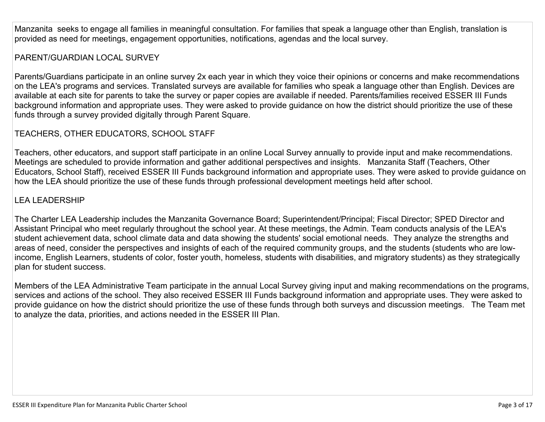Manzanita seeks to engage all families in meaningful consultation. For families that speak a language other than English, translation is provided as need for meetings, engagement opportunities, notifications, agendas and the local survey.

# PARENT/GUARDIAN LOCAL SURVEY

Parents/Guardians participate in an online survey 2x each year in which they voice their opinions or concerns and make recommendations on the LEA's programs and services. Translated surveys are available for families who speak a language other than English. Devices are available at each site for parents to take the survey or paper copies are available if needed. Parents/families received ESSER III Funds background information and appropriate uses. They were asked to provide guidance on how the district should prioritize the use of these funds through a survey provided digitally through Parent Square.

# TEACHERS, OTHER EDUCATORS, SCHOOL STAFF

Teachers, other educators, and support staff participate in an online Local Survey annually to provide input and make recommendations. Meetings are scheduled to provide information and gather additional perspectives and insights. Manzanita Staff (Teachers, Other Educators, School Staff), received ESSER III Funds background information and appropriate uses. They were asked to provide guidance on how the LEA should prioritize the use of these funds through professional development meetings held after school.

# LEA LEADERSHIP

The Charter LEA Leadership includes the Manzanita Governance Board; Superintendent/Principal; Fiscal Director; SPED Director and Assistant Principal who meet regularly throughout the school year. At these meetings, the Admin. Team conducts analysis of the LEA's student achievement data, school climate data and data showing the students' social emotional needs. They analyze the strengths and areas of need, consider the perspectives and insights of each of the required community groups, and the students (students who are lowincome, English Learners, students of color, foster youth, homeless, students with disabilities, and migratory students) as they strategically plan for student success.

Members of the LEA Administrative Team participate in the annual Local Survey giving input and making recommendations on the programs, services and actions of the school. They also received ESSER III Funds background information and appropriate uses. They were asked to provide guidance on how the district should prioritize the use of these funds through both surveys and discussion meetings. The Team met to analyze the data, priorities, and actions needed in the ESSER III Plan.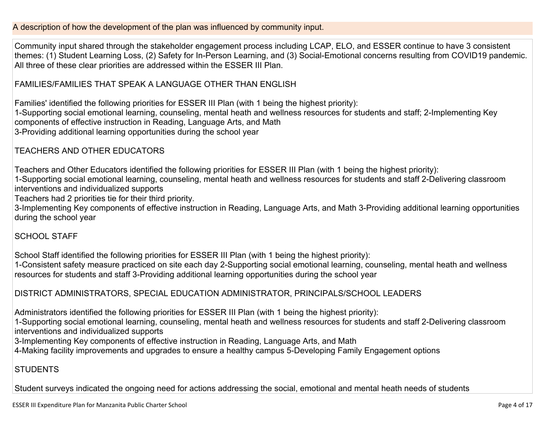A description of how the development of the plan was influenced by community input.

Community input shared through the stakeholder engagement process including LCAP, ELO, and ESSER continue to have 3 consistent themes: (1) Student Learning Loss, (2) Safety for In-Person Learning, and (3) Social-Emotional concerns resulting from COVID19 pandemic. All three of these clear priorities are addressed within the ESSER III Plan.

FAMILIES/FAMILIES THAT SPEAK A LANGUAGE OTHER THAN ENGLISH

Families' identified the following priorities for ESSER III Plan (with 1 being the highest priority): 1-Supporting social emotional learning, counseling, mental heath and wellness resources for students and staff; 2-Implementing Key components of effective instruction in Reading, Language Arts, and Math 3-Providing additional learning opportunities during the school year

TEACHERS AND OTHER EDUCATORS

Teachers and Other Educators identified the following priorities for ESSER III Plan (with 1 being the highest priority):

1-Supporting social emotional learning, counseling, mental heath and wellness resources for students and staff 2-Delivering classroom interventions and individualized supports

Teachers had 2 priorities tie for their third priority.

3-Implementing Key components of effective instruction in Reading, Language Arts, and Math 3-Providing additional learning opportunities during the school year

## SCHOOL STAFF

School Staff identified the following priorities for ESSER III Plan (with 1 being the highest priority): 1-Consistent safety measure practiced on site each day 2-Supporting social emotional learning, counseling, mental heath and wellness resources for students and staff 3-Providing additional learning opportunities during the school year

## DISTRICT ADMINISTRATORS, SPECIAL EDUCATION ADMINISTRATOR, PRINCIPALS/SCHOOL LEADERS

Administrators identified the following priorities for ESSER III Plan (with 1 being the highest priority):

1-Supporting social emotional learning, counseling, mental heath and wellness resources for students and staff 2-Delivering classroom interventions and individualized supports

3-Implementing Key components of effective instruction in Reading, Language Arts, and Math

4-Making facility improvements and upgrades to ensure a healthy campus 5-Developing Family Engagement options

# **STUDENTS**

Student surveys indicated the ongoing need for actions addressing the social, emotional and mental heath needs of students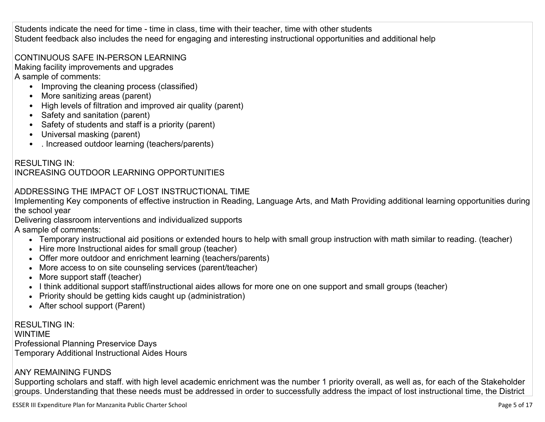Students indicate the need for time - time in class, time with their teacher, time with other students Student feedback also includes the need for engaging and interesting instructional opportunities and additional help

## CONTINUOUS SAFE IN-PERSON LEARNING

Making facility improvements and upgrades A sample of comments:

- Improving the cleaning process (classified)
- More sanitizing areas (parent)
- High levels of filtration and improved air quality (parent)
- Safety and sanitation (parent)
- Safety of students and staff is a priority (parent)
- Universal masking (parent)
- . Increased outdoor learning (teachers/parents)

#### RESULTING IN: INCREASING OUTDOOR LEARNING OPPORTUNITIES

# ADDRESSING THE IMPACT OF LOST INSTRUCTIONAL TIME

Implementing Key components of effective instruction in Reading, Language Arts, and Math Providing additional learning opportunities during the school year

Delivering classroom interventions and individualized supports

A sample of comments:

- Temporary instructional aid positions or extended hours to help with small group instruction with math similar to reading. (teacher)
- Hire more Instructional aides for small group (teacher)
- Offer more outdoor and enrichment learning (teachers/parents)
- More access to on site counseling services (parent/teacher)
- More support staff (teacher)
- I think additional support staff/instructional aides allows for more one on one support and small groups (teacher)
- Priority should be getting kids caught up (administration)
- After school support (Parent)

RESULTING IN: WINTIME Professional Planning Preservice Days Temporary Additional Instructional Aides Hours

# ANY REMAINING FUNDS

Supporting scholars and staff. with high level academic enrichment was the number 1 priority overall, as well as, for each of the Stakeholder groups. Understanding that these needs must be addressed in order to successfully address the impact of lost instructional time, the District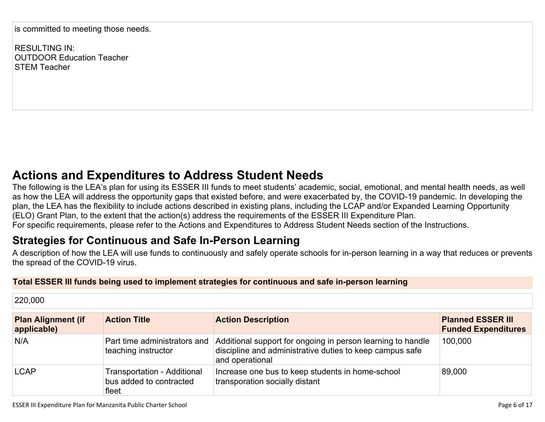is committed to meeting those needs.

RESULTING IN: OUTDOOR Education Teacher STEM Teacher

# **Actions and [Expenditures](#page-14-0) to Address Student Needs**

The following is the LEA's plan for using its ESSER III funds to meet students' academic, social, emotional, and mental health needs, as well as how the LEA will address the opportunity gaps that existed before, and were exacerbated by, the COVID-19 pandemic. In developing the plan, the LEA has the flexibility to include actions described in existing plans, including the LCAP and/or Expanded Learning Opportunity (ELO) Grant Plan, to the extent that the action(s) address the requirements of the ESSER III Expenditure Plan. For specific requirements, please refer to the Actions and Expenditures to Address Student Needs section of the Instructions.

# **Strategies for [Continuous](#page-14-1) and Safe In-Person Learning**

A description of how the LEA will use funds to continuously and safely operate schools for in-person learning in a way that reduces or prevents the spread of the COVID-19 virus.

### **Total ESSER III funds being used to implement strategies for continuous and safe in-person learning**

220,000 **Plan Alignment (if applicable) Action Title Action Description Planned ESSER III Funded Expenditures** N/A Part time administrators and teaching instructor Additional support for ongoing in person learning to handle discipline and administrative duties to keep campus safe and operational 100,000 LCAP Transportation - Additional bus added to contracted fleet Increase one bus to keep students in home-school transporation socially distant 89,000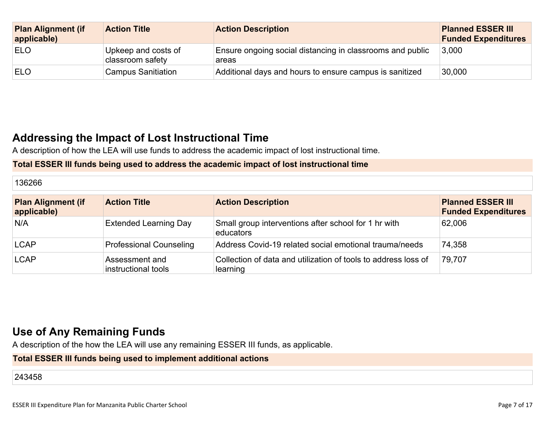| <b>Plan Alignment (if</b><br>applicable) | <b>Action Title</b>                     | <b>Action Description</b>                                          | <b>Planned ESSER III</b><br><b>Funded Expenditures</b> |
|------------------------------------------|-----------------------------------------|--------------------------------------------------------------------|--------------------------------------------------------|
| <b>ELO</b>                               | Upkeep and costs of<br>classroom safety | Ensure ongoing social distancing in classrooms and public<br>areas | 3,000                                                  |
| <b>ELO</b>                               | <b>Campus Sanitiation</b>               | Additional days and hours to ensure campus is sanitized            | 30,000                                                 |

# **Addressing the Impact of Lost [Instructional](#page-15-0) Tim[e](#page-15-0)**

A description of how the LEA will use funds to address the academic impact of lost instructional time.

### **Total ESSER III funds being used to address the academic impact of lost instructional time**

| $- - - - -$<br>- כ<br>. .<br>36266 |  |  |
|------------------------------------|--|--|
|                                    |  |  |
|                                    |  |  |

| <b>Plan Alignment (if</b><br>applicable) | <b>Action Title</b>                   | <b>Action Description</b>                                                  | <b>Planned ESSER III</b><br><b>Funded Expenditures</b> |
|------------------------------------------|---------------------------------------|----------------------------------------------------------------------------|--------------------------------------------------------|
| N/A                                      | <b>Extended Learning Day</b>          | Small group interventions after school for 1 hr with<br>educators          | 62,006                                                 |
| <b>LCAP</b>                              | <b>Professional Counseling</b>        | Address Covid-19 related social emotional trauma/needs                     | 74,358                                                 |
| <b>LCAP</b>                              | Assessment and<br>instructional tools | Collection of data and utilization of tools to address loss of<br>learning | 79,707                                                 |

# **Use of Any [Remaining](#page-15-1) Fund[s](#page-15-1)**

A description of the how the LEA will use any remaining ESSER III funds, as applicable.

### **Total ESSER III funds being used to implement additional actions**

243458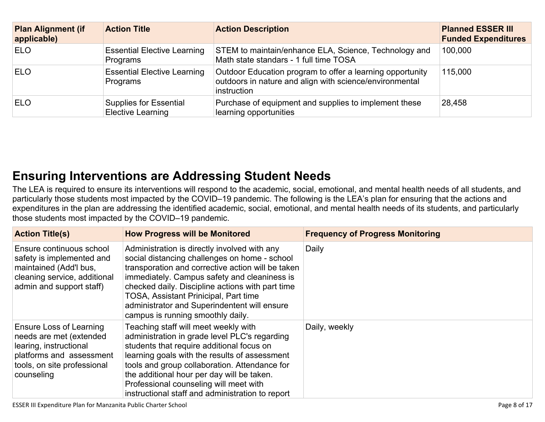| <b>Plan Alignment (if</b><br>applicable) | <b>Action Title</b>                                       | <b>Action Description</b>                                                                                                           | <b>Planned ESSER III</b><br><b>Funded Expenditures</b> |
|------------------------------------------|-----------------------------------------------------------|-------------------------------------------------------------------------------------------------------------------------------------|--------------------------------------------------------|
| <b>ELO</b>                               | <b>Essential Elective Learning</b><br>Programs            | STEM to maintain/enhance ELA, Science, Technology and<br>Math state standars - 1 full time TOSA                                     | 100,000                                                |
| <b>ELO</b>                               | <b>Essential Elective Learning</b><br>Programs            | Outdoor Education program to offer a learning opportunity<br>outdoors in nature and align with science/environmental<br>instruction | 115,000                                                |
| <b>ELO</b>                               | <b>Supplies for Essential</b><br><b>Elective Learning</b> | Purchase of equipment and supplies to implement these<br>learning opportunities                                                     | 28,458                                                 |

# **Ensuring [Interventions](#page-15-2) are Addressing Student Need[s](#page-15-2)**

The LEA is required to ensure its interventions will respond to the academic, social, emotional, and mental health needs of all students, and particularly those students most impacted by the COVID–19 pandemic. The following is the LEA's plan for ensuring that the actions and expenditures in the plan are addressing the identified academic, social, emotional, and mental health needs of its students, and particularly those students most impacted by the COVID–19 pandemic.

| <b>Action Title(s)</b>                                                                                                                                | <b>How Progress will be Monitored</b>                                                                                                                                                                                                                                                                                                                                                       | <b>Frequency of Progress Monitoring</b> |  |
|-------------------------------------------------------------------------------------------------------------------------------------------------------|---------------------------------------------------------------------------------------------------------------------------------------------------------------------------------------------------------------------------------------------------------------------------------------------------------------------------------------------------------------------------------------------|-----------------------------------------|--|
| Ensure continuous school<br>safety is implemented and<br>maintained (Add'l bus,<br>cleaning service, additional<br>admin and support staff)           | Administration is directly involved with any<br>social distancing challenges on home - school<br>transporation and corrective action will be taken<br>immediately. Campus safety and cleaniness is<br>checked daily. Discipline actions with part time<br><b>TOSA, Assistant Prinicipal, Part time</b><br>administrator and Superindentent will ensure<br>campus is running smoothly daily. | Daily                                   |  |
| Ensure Loss of Learning<br>needs are met (extended<br>learing, instructional<br>platforms and assessment<br>tools, on site professional<br>counseling | Teaching staff will meet weekly with<br>administration in grade level PLC's regarding<br>students that require additional focus on<br>learning goals with the results of assessment<br>tools and group collaboration. Attendance for<br>the additional hour per day will be taken.<br>Professional counseling will meet with<br>instructional staff and administration to report            | Daily, weekly                           |  |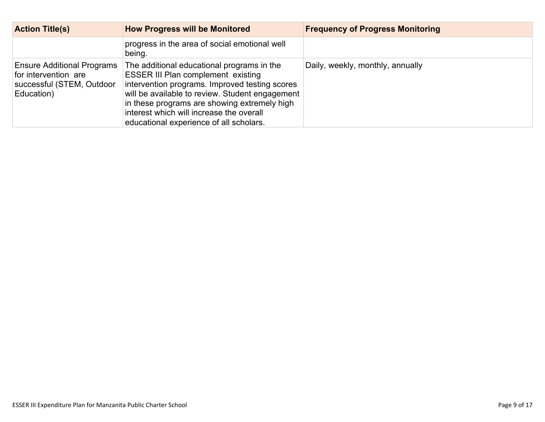| <b>Action Title(s)</b>                                                                               | <b>How Progress will be Monitored</b>                                                                                                                                                                                                                                                                                               | <b>Frequency of Progress Monitoring</b> |
|------------------------------------------------------------------------------------------------------|-------------------------------------------------------------------------------------------------------------------------------------------------------------------------------------------------------------------------------------------------------------------------------------------------------------------------------------|-----------------------------------------|
|                                                                                                      | progress in the area of social emotional well<br>being.                                                                                                                                                                                                                                                                             |                                         |
| <b>Ensure Additional Programs</b><br>for intervention are<br>successful (STEM, Outdoor<br>Education) | The additional educational programs in the<br><b>ESSER III Plan complement existing</b><br>intervention programs. Improved testing scores<br>will be available to review. Student engagement<br>in these programs are showing extremely high<br>interest which will increase the overall<br>educational experience of all scholars. | Daily, weekly, monthly, annually        |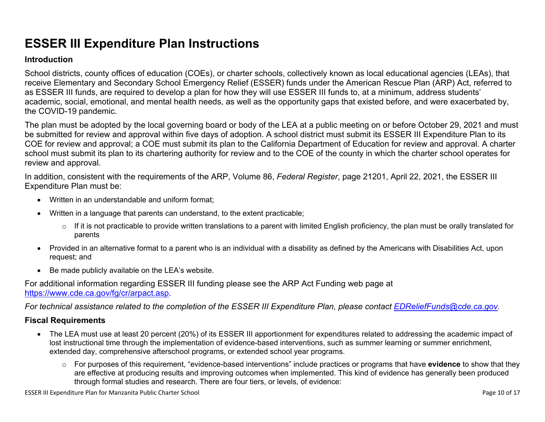# **ESSER III Expenditure Plan Instructions**

#### **Introduction**

School districts, county offices of education (COEs), or charter schools, collectively known as local educational agencies (LEAs), that receive Elementary and Secondary School Emergency Relief (ESSER) funds under the American Rescue Plan (ARP) Act, referred to as ESSER III funds, are required to develop a plan for how they will use ESSER III funds to, at a minimum, address students' academic, social, emotional, and mental health needs, as well as the opportunity gaps that existed before, and were exacerbated by, the COVID-19 pandemic.

The plan must be adopted by the local governing board or body of the LEA at a public meeting on or before October 29, 2021 and must be submitted for review and approval within five days of adoption. A school district must submit its ESSER III Expenditure Plan to its COE for review and approval; a COE must submit its plan to the California Department of Education for review and approval. A charter school must submit its plan to its chartering authority for review and to the COE of the county in which the charter school operates for review and approval.

In addition, consistent with the requirements of the ARP, Volume 86, *Federal Register*, page 21201, April 22, 2021, the ESSER III Expenditure Plan must be:

- Written in an understandable and uniform format;
- Written in a language that parents can understand, to the extent practicable;
	- $\circ$  If it is not practicable to provide written translations to a parent with limited English proficiency, the plan must be orally translated for parents
- Provided in an alternative format to a parent who is an individual with a disability as defined by the Americans with Disabilities Act, upon request; and
- Be made publicly available on the LEA's website.

For additional information regarding ESSER III funding please see the ARP Act Funding web page at <https://www.cde.ca.gov/fg/cr/arpact.asp>.

For technical assistance related to the completion of the ESSER III Expenditure Plan, please contact [EDReliefFunds@cde.ca.gov](mailto:EDReliefFunds@cde.ca.gov).

### **Fiscal Requirements**

- The LEA must use at least 20 percent (20%) of its ESSER III apportionment for expenditures related to addressing the academic impact of lost instructional time through the implementation of evidence-based interventions, such as summer learning or summer enrichment, extended day, comprehensive afterschool programs, or extended school year programs.
	- o For purposes of this requirement, "evidence-based interventions" include practices or programs that have **evidence** to show that they are effective at producing results and improving outcomes when implemented. This kind of evidence has generally been produced through formal studies and research. There are four tiers, or levels, of evidence: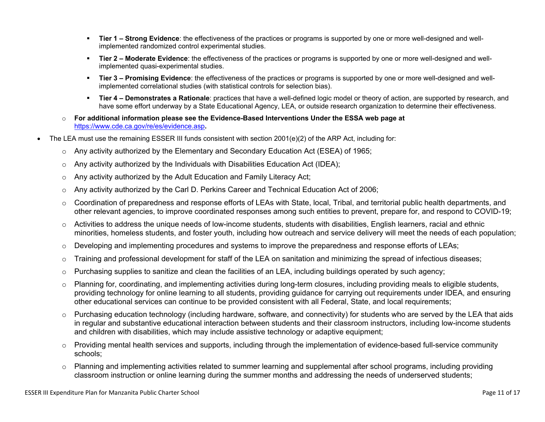- **Tier 1 – Strong Evidence**: the effectiveness of the practices or programs is supported by one or more well-designed and wellimplemented randomized control experimental studies.
- **Tier 2 – Moderate Evidence**: the effectiveness of the practices or programs is supported by one or more well-designed and wellimplemented quasi-experimental studies.
- **Tier 3 – Promising Evidence**: the effectiveness of the practices or programs is supported by one or more well-designed and wellimplemented correlational studies (with statistical controls for selection bias).
- **Tier 4 – Demonstrates a Rationale**: practices that have a well-defined logic model or theory of action, are supported by research, and have some effort underway by a State Educational Agency, LEA, or outside research organization to determine their effectiveness.
- o **For additional information please see the Evidence-Based Interventions Under the ESSA web page at** <https://www.cde.ca.gov/re/es/evidence.asp>**.**
- The LEA must use the remaining ESSER III funds consistent with section 2001(e)(2) of the ARP Act, including for:
	- $\circ$  Any activity authorized by the Elementary and Secondary Education Act (ESEA) of 1965;
	- $\circ$  Any activity authorized by the Individuals with Disabilities Education Act (IDEA);
	- o Any activity authorized by the Adult Education and Family Literacy Act;
	- $\circ$  Any activity authorized by the Carl D. Perkins Career and Technical Education Act of 2006;
	- $\circ$  Coordination of preparedness and response efforts of LEAs with State, local, Tribal, and territorial public health departments, and other relevant agencies, to improve coordinated responses among such entities to prevent, prepare for, and respond to COVID-19;
	- $\circ$  Activities to address the unique needs of low-income students, students with disabilities, English learners, racial and ethnic minorities, homeless students, and foster youth, including how outreach and service delivery will meet the needs of each population;
	- o Developing and implementing procedures and systems to improve the preparedness and response efforts of LEAs;
	- $\circ$  Training and professional development for staff of the LEA on sanitation and minimizing the spread of infectious diseases;
	- $\circ$  Purchasing supplies to sanitize and clean the facilities of an LEA, including buildings operated by such agency;
	- $\circ$  Planning for, coordinating, and implementing activities during long-term closures, including providing meals to eligible students, providing technology for online learning to all students, providing guidance for carrying out requirements under IDEA, and ensuring other educational services can continue to be provided consistent with all Federal, State, and local requirements;
	- $\circ$  Purchasing education technology (including hardware, software, and connectivity) for students who are served by the LEA that aids in regular and substantive educational interaction between students and their classroom instructors, including low-income students and children with disabilities, which may include assistive technology or adaptive equipment;
	- $\circ$  Providing mental health services and supports, including through the implementation of evidence-based full-service community schools;
	- o Planning and implementing activities related to summer learning and supplemental after school programs, including providing classroom instruction or online learning during the summer months and addressing the needs of underserved students;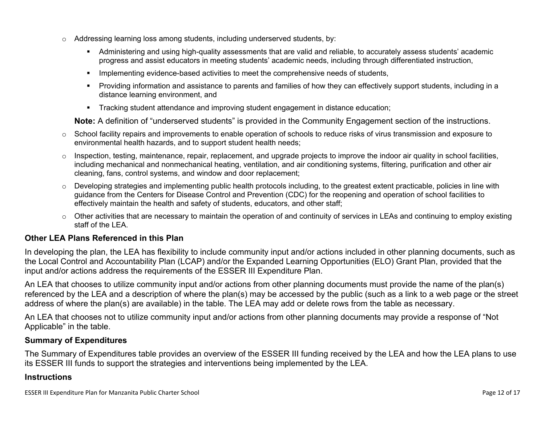- $\circ$  Addressing learning loss among students, including underserved students, by:
	- Administering and using high-quality assessments that are valid and reliable, to accurately assess students' academic progress and assist educators in meeting students' academic needs, including through differentiated instruction,
	- **IMPLEMENTER IMPLEMENT EVALUATE:** Implementing evidence-based activities to meet the comprehensive needs of students,
	- Providing information and assistance to parents and families of how they can effectively support students, including in a distance learning environment, and
	- Tracking student attendance and improving student engagement in distance education;

**Note:** A definition of "underserved students" is provided in the Community Engagement section of the instructions.

- $\circ$  School facility repairs and improvements to enable operation of schools to reduce risks of virus transmission and exposure to environmental health hazards, and to support student health needs;
- $\circ$  Inspection, testing, maintenance, repair, replacement, and upgrade projects to improve the indoor air quality in school facilities, including mechanical and nonmechanical heating, ventilation, and air conditioning systems, filtering, purification and other air cleaning, fans, control systems, and window and door replacement;
- $\circ$  Developing strategies and implementing public health protocols including, to the greatest extent practicable, policies in line with guidance from the Centers for Disease Control and Prevention (CDC) for the reopening and operation of school facilities to effectively maintain the health and safety of students, educators, and other staff;
- $\circ$  Other activities that are necessary to maintain the operation of and continuity of services in LEAs and continuing to employ existing staff of the LEA.

#### <span id="page-11-0"></span>**Other LEA Plans Referenced in this Plan**

In developing the plan, the LEA has flexibility to include community input and/or actions included in other planning documents, such as the Local Control and Accountability Plan (LCAP) and/or the Expanded Learning Opportunities (ELO) Grant Plan, provided that the input and/or actions address the requirements of the ESSER III Expenditure Plan.

An LEA that chooses to utilize community input and/or actions from other planning documents must provide the name of the plan(s) referenced by the LEA and a description of where the plan(s) may be accessed by the public (such as a link to a web page or the street address of where the plan(s) are available) in the table. The LEA may add or delete rows from the table as necessary.

An LEA that chooses not to utilize community input and/or actions from other planning documents may provide a response of "Not Applicable" in the table.

#### <span id="page-11-1"></span>**Summary of Expenditures**

The Summary of Expenditures table provides an overview of the ESSER III funding received by the LEA and how the LEA plans to use its ESSER III funds to support the strategies and interventions being implemented by the LEA.

#### **Instructions**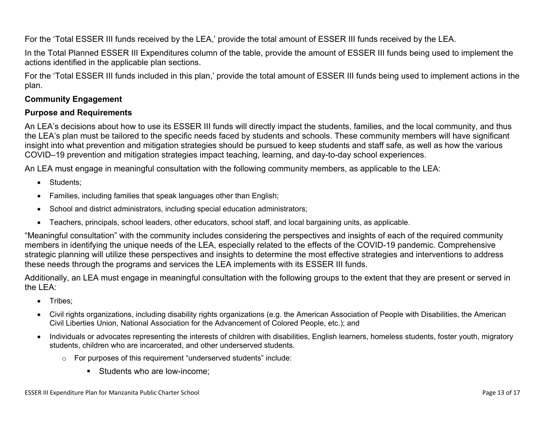For the 'Total ESSER III funds received by the LEA,' provide the total amount of ESSER III funds received by the LEA.

In the Total Planned ESSER III Expenditures column of the table, provide the amount of ESSER III funds being used to implement the actions identified in the applicable plan sections.

For the 'Total ESSER III funds included in this plan,' provide the total amount of ESSER III funds being used to implement actions in the plan.

### <span id="page-12-0"></span>**Community Engagement**

#### **Purpose and Requirements**

An LEA's decisions about how to use its ESSER III funds will directly impact the students, families, and the local community, and thus the LEA's plan must be tailored to the specific needs faced by students and schools. These community members will have significant insight into what prevention and mitigation strategies should be pursued to keep students and staff safe, as well as how the various COVID–19 prevention and mitigation strategies impact teaching, learning, and day-to-day school experiences.

An LEA must engage in meaningful consultation with the following community members, as applicable to the LEA:

- Students:
- Families, including families that speak languages other than English;
- School and district administrators, including special education administrators;
- Teachers, principals, school leaders, other educators, school staff, and local bargaining units, as applicable.

"Meaningful consultation" with the community includes considering the perspectives and insights of each of the required community members in identifying the unique needs of the LEA, especially related to the effects of the COVID-19 pandemic. Comprehensive strategic planning will utilize these perspectives and insights to determine the most effective strategies and interventions to address these needs through the programs and services the LEA implements with its ESSER III funds.

Additionally, an LEA must engage in meaningful consultation with the following groups to the extent that they are present or served in the LEA:

- Tribes;
- Civil rights organizations, including disability rights organizations (e.g. the American Association of People with Disabilities, the American Civil Liberties Union, National Association for the Advancement of Colored People, etc.); and
- Individuals or advocates representing the interests of children with disabilities, English learners, homeless students, foster youth, migratory students, children who are incarcerated, and other underserved students.
	- o For purposes of this requirement "underserved students" include:
		- **Students who are low-income:**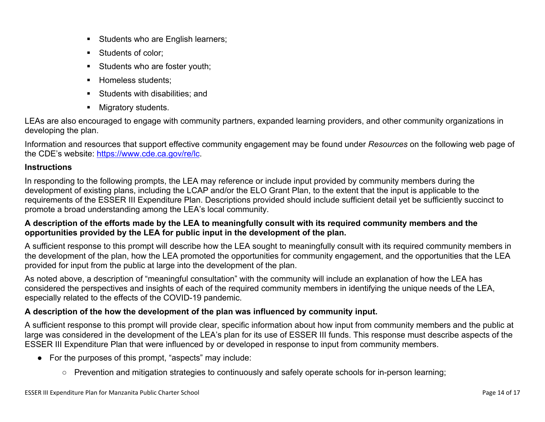- Students who are English learners;
- Students of color:
- Students who are foster youth;
- Homeless students;
- **Students with disabilities: and**
- **Migratory students.**

LEAs are also encouraged to engage with community partners, expanded learning providers, and other community organizations in developing the plan.

Information and resources that support effective community engagement may be found under *Resources* on the following web page of the CDE's website: <https://www.cde.ca.gov/re/lc>.

### **Instructions**

In responding to the following prompts, the LEA may reference or include input provided by community members during the development of existing plans, including the LCAP and/or the ELO Grant Plan, to the extent that the input is applicable to the requirements of the ESSER III Expenditure Plan. Descriptions provided should include sufficient detail yet be sufficiently succinct to promote a broad understanding among the LEA's local community.

### A description of the efforts made by the LEA to meaningfully consult with its required community members and the **opportunities provided by the LEA for public input in the development of the plan.**

A sufficient response to this prompt will describe how the LEA sought to meaningfully consult with its required community members in the development of the plan, how the LEA promoted the opportunities for community engagement, and the opportunities that the LEA provided for input from the public at large into the development of the plan.

As noted above, a description of "meaningful consultation" with the community will include an explanation of how the LEA has considered the perspectives and insights of each of the required community members in identifying the unique needs of the LEA, especially related to the effects of the COVID-19 pandemic.

## **A description of the how the development of the plan was influenced by community input.**

A sufficient response to this prompt will provide clear, specific information about how input from community members and the public at large was considered in the development of the LEA's plan for its use of ESSER III funds. This response must describe aspects of the ESSER III Expenditure Plan that were influenced by or developed in response to input from community members.

- For the purposes of this prompt, "aspects" may include:
	- Prevention and mitigation strategies to continuously and safely operate schools for in-person learning;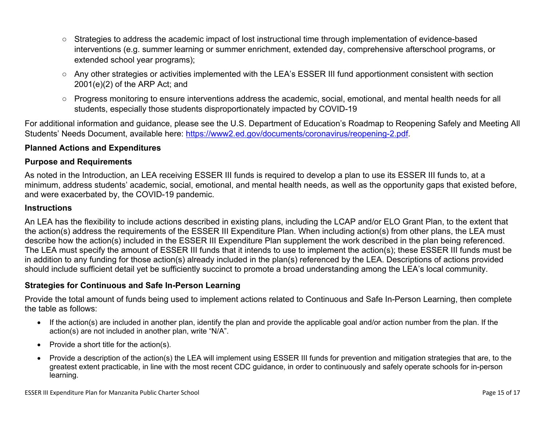- Strategies to address the academic impact of lost instructional time through implementation of evidence-based interventions (e.g. summer learning or summer enrichment, extended day, comprehensive afterschool programs, or extended school year programs);
- Any other strategies or activities implemented with the LEA's ESSER III fund apportionment consistent with section 2001(e)(2) of the ARP Act; and
- Progress monitoring to ensure interventions address the academic, social, emotional, and mental health needs for all students, especially those students disproportionately impacted by COVID-19

For additional information and guidance, please see the U.S. Department of Education's Roadmap to Reopening Safely and Meeting All Students' Needs Document, available here: [https://www2.ed.gov/documents/coronavirus/reopening-2.pdf.](https://www2.ed.gov/documents/coronavirus/reopening-2.pdf)

### <span id="page-14-0"></span>**Planned Actions and Expenditures**

#### **Purpose and Requirements**

As noted in the Introduction, an LEA receiving ESSER III funds is required to develop a plan to use its ESSER III funds to, at a minimum, address students' academic, social, emotional, and mental health needs, as well as the opportunity gaps that existed before, and were exacerbated by, the COVID-19 pandemic.

#### **Instructions**

An LEA has the flexibility to include actions described in existing plans, including the LCAP and/or ELO Grant Plan, to the extent that the action(s) address the requirements of the ESSER III Expenditure Plan. When including action(s) from other plans, the LEA must describe how the action(s) included in the ESSER III Expenditure Plan supplement the work described in the plan being referenced. The LEA must specify the amount of ESSER III funds that it intends to use to implement the action(s); these ESSER III funds must be in addition to any funding for those action(s) already included in the plan(s) referenced by the LEA. Descriptions of actions provided should include sufficient detail yet be sufficiently succinct to promote a broad understanding among the LEA's local community.

#### <span id="page-14-1"></span>**Strategies for Continuous and Safe In-Person Learning**

Provide the total amount of funds being used to implement actions related to Continuous and Safe In-Person Learning, then complete the table as follows:

- If the action(s) are included in another plan, identify the plan and provide the applicable goal and/or action number from the plan. If the action(s) are not included in another plan, write "N/A".
- Provide a short title for the  $action(s)$ .
- Provide a description of the action(s) the LEA will implement using ESSER III funds for prevention and mitigation strategies that are, to the greatest extent practicable, in line with the most recent CDC guidance, in order to continuously and safely operate schools for in-person learning.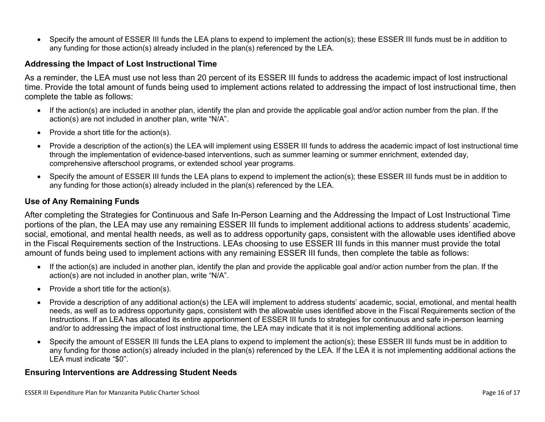Specify the amount of ESSER III funds the LEA plans to expend to implement the action(s); these ESSER III funds must be in addition to any funding for those action(s) already included in the plan(s) referenced by the LEA.

#### <span id="page-15-0"></span>**Addressing the Impact of Lost Instructional Time**

As a reminder, the LEA must use not less than 20 percent of its ESSER III funds to address the academic impact of lost instructional time. Provide the total amount of funds being used to implement actions related to addressing the impact of lost instructional time, then complete the table as follows:

- If the action(s) are included in another plan, identify the plan and provide the applicable goal and/or action number from the plan. If the action(s) are not included in another plan, write "N/A".
- Provide a short title for the  $action(s)$ .
- Provide a description of the action(s) the LEA will implement using ESSER III funds to address the academic impact of lost instructional time through the implementation of evidence-based interventions, such as summer learning or summer enrichment, extended day, comprehensive afterschool programs, or extended school year programs.
- Specify the amount of ESSER III funds the LEA plans to expend to implement the action(s); these ESSER III funds must be in addition to any funding for those action(s) already included in the plan(s) referenced by the LEA.

#### <span id="page-15-1"></span>**Use of Any Remaining Funds**

After completing the Strategies for Continuous and Safe In-Person Learning and the Addressing the Impact of Lost Instructional Time portions of the plan, the LEA may use any remaining ESSER III funds to implement additional actions to address students' academic, social, emotional, and mental health needs, as well as to address opportunity gaps, consistent with the allowable uses identified above in the Fiscal Requirements section of the Instructions. LEAs choosing to use ESSER III funds in this manner must provide the total amount of funds being used to implement actions with any remaining ESSER III funds, then complete the table as follows:

- If the action(s) are included in another plan, identify the plan and provide the applicable goal and/or action number from the plan. If the action(s) are not included in another plan, write "N/A".
- Provide a short title for the  $action(s)$ .
- Provide a description of any additional action(s) the LEA will implement to address students' academic, social, emotional, and mental health needs, as well as to address opportunity gaps, consistent with the allowable uses identified above in the Fiscal Requirements section of the Instructions. If an LEA has allocated its entire apportionment of ESSER III funds to strategies for continuous and safe in-person learning and/or to addressing the impact of lost instructional time, the LEA may indicate that it is not implementing additional actions.
- Specify the amount of ESSER III funds the LEA plans to expend to implement the action(s); these ESSER III funds must be in addition to any funding for those action(s) already included in the plan(s) referenced by the LEA. If the LEA it is not implementing additional actions the LEA must indicate "\$0".

#### <span id="page-15-2"></span>**Ensuring Interventions are Addressing Student Needs**